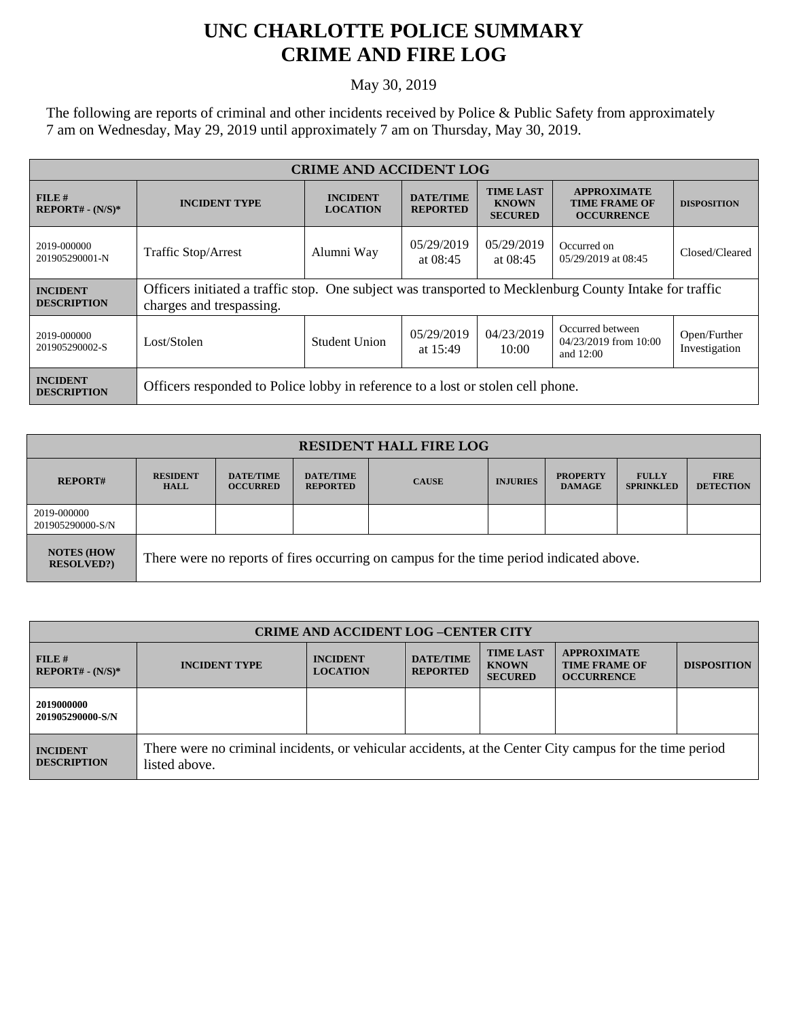## **UNC CHARLOTTE POLICE SUMMARY CRIME AND FIRE LOG**

May 30, 2019

The following are reports of criminal and other incidents received by Police & Public Safety from approximately 7 am on Wednesday, May 29, 2019 until approximately 7 am on Thursday, May 30, 2019.

| <b>CRIME AND ACCIDENT LOG</b>         |                                                                                                                                     |                                    |                                                      |                                                    |                                                                 |                               |  |
|---------------------------------------|-------------------------------------------------------------------------------------------------------------------------------------|------------------------------------|------------------------------------------------------|----------------------------------------------------|-----------------------------------------------------------------|-------------------------------|--|
| FILE H<br>$REPORT# - (N/S)*$          | <b>INCIDENT TYPE</b>                                                                                                                | <b>INCIDENT</b><br><b>LOCATION</b> | <b>DATE/TIME</b><br><b>REPORTED</b>                  | <b>TIME LAST</b><br><b>KNOWN</b><br><b>SECURED</b> | <b>APPROXIMATE</b><br><b>TIME FRAME OF</b><br><b>OCCURRENCE</b> | <b>DISPOSITION</b>            |  |
| 2019-000000<br>201905290001-N         | <b>Traffic Stop/Arrest</b>                                                                                                          | Alumni Way                         | 05/29/2019<br>05/29/2019<br>at $08:45$<br>at $08:45$ |                                                    | Occurred on<br>05/29/2019 at 08:45                              | Closed/Cleared                |  |
| <b>INCIDENT</b><br><b>DESCRIPTION</b> | Officers initiated a traffic stop. One subject was transported to Mecklenburg County Intake for traffic<br>charges and trespassing. |                                    |                                                      |                                                    |                                                                 |                               |  |
| 2019-000000<br>201905290002-S         | Lost/Stolen                                                                                                                         | <b>Student Union</b>               | 05/29/2019<br>at 15:49                               | 04/23/2019<br>10:00                                | Occurred between<br>04/23/2019 from 10:00<br>and $12:00$        | Open/Further<br>Investigation |  |
| <b>INCIDENT</b><br><b>DESCRIPTION</b> | Officers responded to Police lobby in reference to a lost or stolen cell phone.                                                     |                                    |                                                      |                                                    |                                                                 |                               |  |

| <b>RESIDENT HALL FIRE LOG</b>         |                                                                                         |                                     |                                     |              |                 |                                  |                                  |                                 |
|---------------------------------------|-----------------------------------------------------------------------------------------|-------------------------------------|-------------------------------------|--------------|-----------------|----------------------------------|----------------------------------|---------------------------------|
| <b>REPORT#</b>                        | <b>RESIDENT</b><br><b>HALL</b>                                                          | <b>DATE/TIME</b><br><b>OCCURRED</b> | <b>DATE/TIME</b><br><b>REPORTED</b> | <b>CAUSE</b> | <b>INJURIES</b> | <b>PROPERTY</b><br><b>DAMAGE</b> | <b>FULLY</b><br><b>SPRINKLED</b> | <b>FIRE</b><br><b>DETECTION</b> |
| 2019-000000<br>201905290000-S/N       |                                                                                         |                                     |                                     |              |                 |                                  |                                  |                                 |
| <b>NOTES (HOW</b><br><b>RESOLVED?</b> | There were no reports of fires occurring on campus for the time period indicated above. |                                     |                                     |              |                 |                                  |                                  |                                 |

| <b>CRIME AND ACCIDENT LOG-CENTER CITY</b> |                                                                                                                          |                                    |                                     |                                                    |                                                                 |                    |
|-------------------------------------------|--------------------------------------------------------------------------------------------------------------------------|------------------------------------|-------------------------------------|----------------------------------------------------|-----------------------------------------------------------------|--------------------|
| FILE#<br>$REPORT# - (N/S)*$               | <b>INCIDENT TYPE</b>                                                                                                     | <b>INCIDENT</b><br><b>LOCATION</b> | <b>DATE/TIME</b><br><b>REPORTED</b> | <b>TIME LAST</b><br><b>KNOWN</b><br><b>SECURED</b> | <b>APPROXIMATE</b><br><b>TIME FRAME OF</b><br><b>OCCURRENCE</b> | <b>DISPOSITION</b> |
| 2019000000<br>201905290000-S/N            |                                                                                                                          |                                    |                                     |                                                    |                                                                 |                    |
| <b>INCIDENT</b><br><b>DESCRIPTION</b>     | There were no criminal incidents, or vehicular accidents, at the Center City campus for the time period<br>listed above. |                                    |                                     |                                                    |                                                                 |                    |